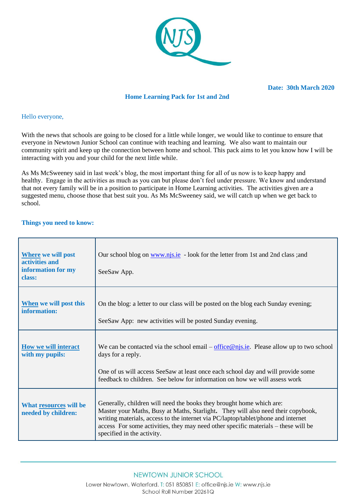

## **Home Learning Pack for 1st and 2nd**

#### Hello everyone,

With the news that schools are going to be closed for a little while longer, we would like to continue to ensure that everyone in Newtown Junior School can continue with teaching and learning. We also want to maintain our community spirit and keep up the connection between home and school. This pack aims to let you know how I will be interacting with you and your child for the next little while.

As Ms McSweeney said in last week's blog, the most important thing for all of us now is to keep happy and healthy. Engage in the activities as much as you can but please don't feel under pressure. We know and understand that not every family will be in a position to participate in Home Learning activities. The activities given are a suggested menu, choose those that best suit you. As Ms McSweeney said, we will catch up when we get back to school.

#### **Things you need to know:**

| <b>Where we will post</b><br>activities and<br>information for my<br>class: | Our school blog on www.njs.ie - look for the letter from 1st and 2nd class; and<br>SeeSaw App.                                                                                                                                                                                                                                                                    |
|-----------------------------------------------------------------------------|-------------------------------------------------------------------------------------------------------------------------------------------------------------------------------------------------------------------------------------------------------------------------------------------------------------------------------------------------------------------|
| When we will post this<br>information:                                      | On the blog: a letter to our class will be posted on the blog each Sunday evening;<br>SeeSaw App: new activities will be posted Sunday evening.                                                                                                                                                                                                                   |
| <b>How we will interact</b><br>with my pupils:                              | We can be contacted via the school email – $office@njs.ie$ . Please allow up to two school<br>days for a reply.<br>One of us will access SeeSaw at least once each school day and will provide some<br>feedback to children. See below for information on how we will assess work                                                                                 |
| What resources will be<br>needed by children:                               | Generally, children will need the books they brought home which are:<br>Master your Maths, Busy at Maths, Starlight. They will also need their copybook,<br>writing materials, access to the internet via PC/laptop/tablet/phone and internet<br>access For some activities, they may need other specific materials - these will be<br>specified in the activity. |

Lower Newtown, Waterford. T: 051 850851 E: office@njs.ie W: www.njs.ie School Roll Number 20261Q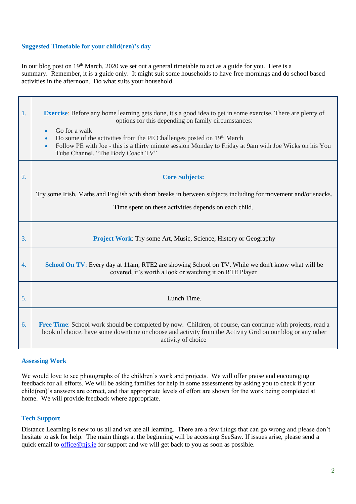# **Suggested Timetable for your child(ren)'s day**

In our blog post on 19<sup>th</sup> March, 2020 we set out a general timetable to act as a guide for you. Here is a summary. Remember, it is a guide only. It might suit some households to have free mornings and do school based activities in the afternoon. Do what suits your household.

| 1. | <b>Exercise</b> : Before any home learning gets done, it's a good idea to get in some exercise. There are plenty of<br>options for this depending on family circumstances:<br>Go for a walk<br>Do some of the activities from the PE Challenges posted on 19th March<br>Follow PE with Joe - this is a thirty minute session Monday to Friday at 9am with Joe Wicks on his You<br>$\bullet$<br>Tube Channel, "The Body Coach TV" |
|----|----------------------------------------------------------------------------------------------------------------------------------------------------------------------------------------------------------------------------------------------------------------------------------------------------------------------------------------------------------------------------------------------------------------------------------|
| 2. | <b>Core Subjects:</b>                                                                                                                                                                                                                                                                                                                                                                                                            |
|    | Try some Irish, Maths and English with short breaks in between subjects including for movement and/or snacks.<br>Time spent on these activities depends on each child.                                                                                                                                                                                                                                                           |
| 3. | <b>Project Work:</b> Try some Art, Music, Science, History or Geography                                                                                                                                                                                                                                                                                                                                                          |
| 4. | School On TV: Every day at 11am, RTE2 are showing School on TV. While we don't know what will be<br>covered, it's worth a look or watching it on RTE Player                                                                                                                                                                                                                                                                      |
| 5. | Lunch Time.                                                                                                                                                                                                                                                                                                                                                                                                                      |
| 6. | Free Time: School work should be completed by now. Children, of course, can continue with projects, read a<br>book of choice, have some downtime or choose and activity from the Activity Grid on our blog or any other<br>activity of choice                                                                                                                                                                                    |

### **Assessing Work**

We would love to see photographs of the children's work and projects. We will offer praise and encouraging feedback for all efforts. We will be asking families for help in some assessments by asking you to check if your child(ren)'s answers are correct, and that appropriate levels of effort are shown for the work being completed at home. We will provide feedback where appropriate.

### **Tech Support**

Distance Learning is new to us all and we are all learning. There are a few things that can go wrong and please don't hesitate to ask for help. The main things at the beginning will be accessing SeeSaw. If issues arise, please send a quick email to <u>office@njs.ie</u> for support and we will get back to you as soon as possible.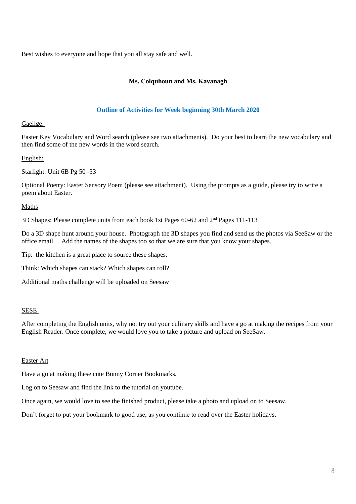Best wishes to everyone and hope that you all stay safe and well.

# **Ms. Colquhoun and Ms. Kavanagh**

## **Outline of Activities for Week beginning 30th March 2020**

### Gaeilge:

Easter Key Vocabulary and Word search (please see two attachments). Do your best to learn the new vocabulary and then find some of the new words in the word search.

English:

Starlight: Unit 6B Pg 50 -53

Optional Poetry: Easter Sensory Poem (please see attachment). Using the prompts as a guide, please try to write a poem about Easter.

Maths

3D Shapes: Please complete units from each book 1st Pages  $60-62$  and  $2<sup>nd</sup>$  Pages 111-113

Do a 3D shape hunt around your house. Photograph the 3D shapes you find and send us the photos via SeeSaw or the office email. . Add the names of the shapes too so that we are sure that you know your shapes.

Tip: the kitchen is a great place to source these shapes.

Think: Which shapes can stack? Which shapes can roll?

Additional maths challenge will be uploaded on Seesaw

### SESE

After completing the English units, why not try out your culinary skills and have a go at making the recipes from your English Reader. Once complete, we would love you to take a picture and upload on SeeSaw.

### Easter Art

Have a go at making these cute Bunny Corner Bookmarks.

Log on to Seesaw and find the link to the tutorial on youtube.

Once again, we would love to see the finished product, please take a photo and upload on to Seesaw.

Don't forget to put your bookmark to good use, as you continue to read over the Easter holidays.